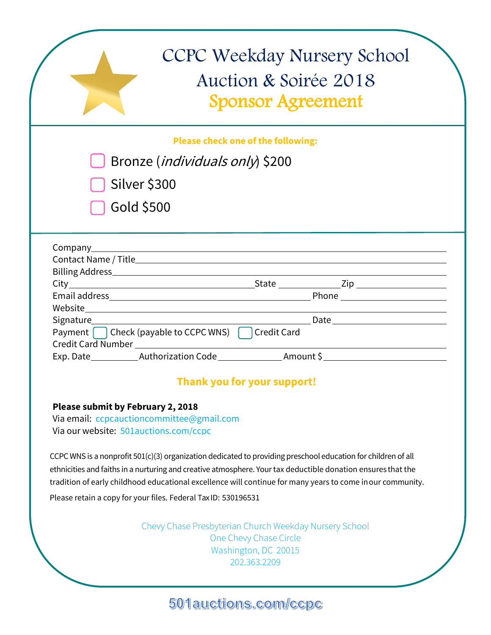|                                                                                    | <b>CCPC Weekday Nursery School</b><br>Auction & Soirée 2018<br><b>Sponsor Agreement</b>                                                                                                                                                                                                                                                       |  |
|------------------------------------------------------------------------------------|-----------------------------------------------------------------------------------------------------------------------------------------------------------------------------------------------------------------------------------------------------------------------------------------------------------------------------------------------|--|
|                                                                                    | <b>Please check one of the following:</b>                                                                                                                                                                                                                                                                                                     |  |
|                                                                                    | Bronze ( <i>individuals only</i> ) \$200                                                                                                                                                                                                                                                                                                      |  |
| Silver \$300                                                                       |                                                                                                                                                                                                                                                                                                                                               |  |
| Gold \$500                                                                         |                                                                                                                                                                                                                                                                                                                                               |  |
|                                                                                    |                                                                                                                                                                                                                                                                                                                                               |  |
|                                                                                    |                                                                                                                                                                                                                                                                                                                                               |  |
|                                                                                    |                                                                                                                                                                                                                                                                                                                                               |  |
|                                                                                    |                                                                                                                                                                                                                                                                                                                                               |  |
|                                                                                    |                                                                                                                                                                                                                                                                                                                                               |  |
| Signature______________________                                                    | Payment   Check (payable to CCPC WNS)   Credit Card                                                                                                                                                                                                                                                                                           |  |
|                                                                                    |                                                                                                                                                                                                                                                                                                                                               |  |
|                                                                                    | <b>Thank you for your support!</b>                                                                                                                                                                                                                                                                                                            |  |
| <b>Please submit by February 2, 2018</b>                                           |                                                                                                                                                                                                                                                                                                                                               |  |
| Via email: ccpcauctioncommittee@gmail.com<br>Via our website: 501auctions.com/ccpc |                                                                                                                                                                                                                                                                                                                                               |  |
|                                                                                    | CCPC WNS is a nonprofit $501(c)(3)$ organization dedicated to providing preschool education for children of all<br>ethnicities and faiths in a nurturing and creative atmosphere. Your tax deductible donation ensures that the<br>tradition of early childhood educational excellence will continue for many years to come in our community. |  |
|                                                                                    | Please retain a copy for your files. Federal Tax ID: 530196531                                                                                                                                                                                                                                                                                |  |
|                                                                                    | Chevy Chase Presbyterian Church Weekday Nursery School<br>One Chevy Chase Circle<br>Washington, DC 20015<br>202.363.2209                                                                                                                                                                                                                      |  |

501 auctions.com/ccpc